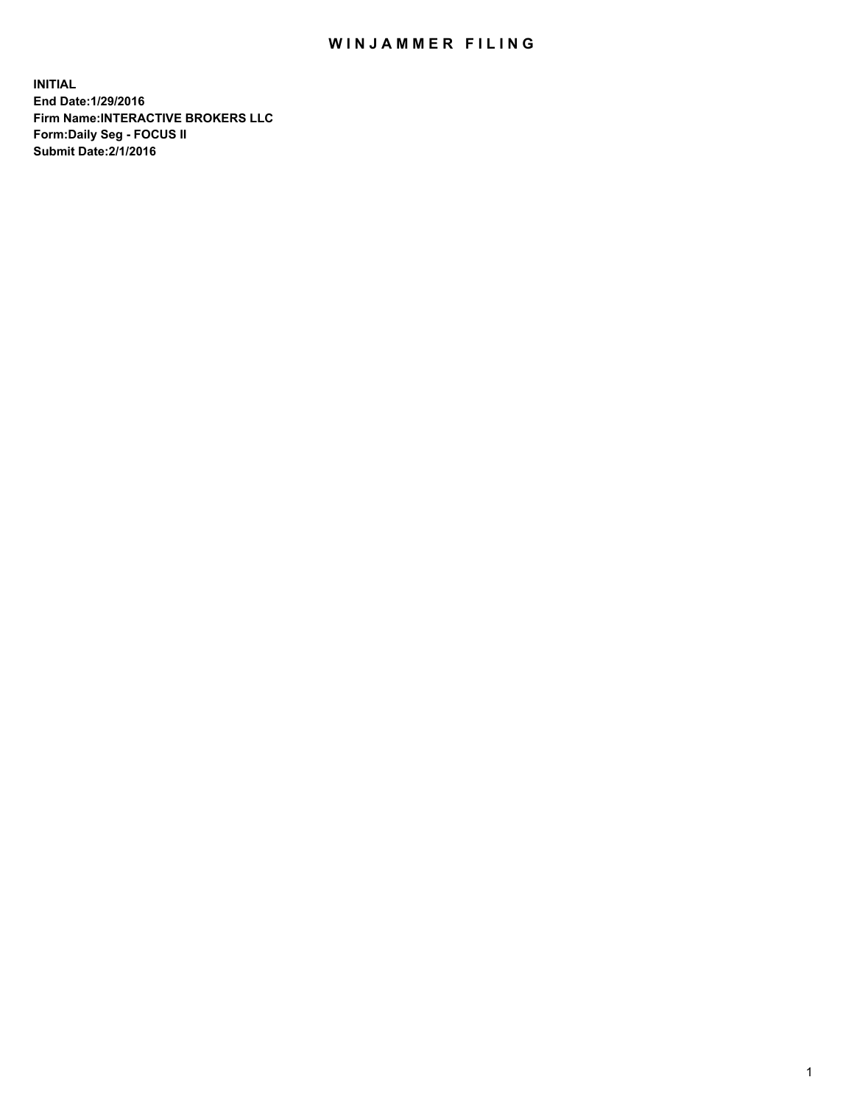## WIN JAMMER FILING

**INITIAL End Date:1/29/2016 Firm Name:INTERACTIVE BROKERS LLC Form:Daily Seg - FOCUS II Submit Date:2/1/2016**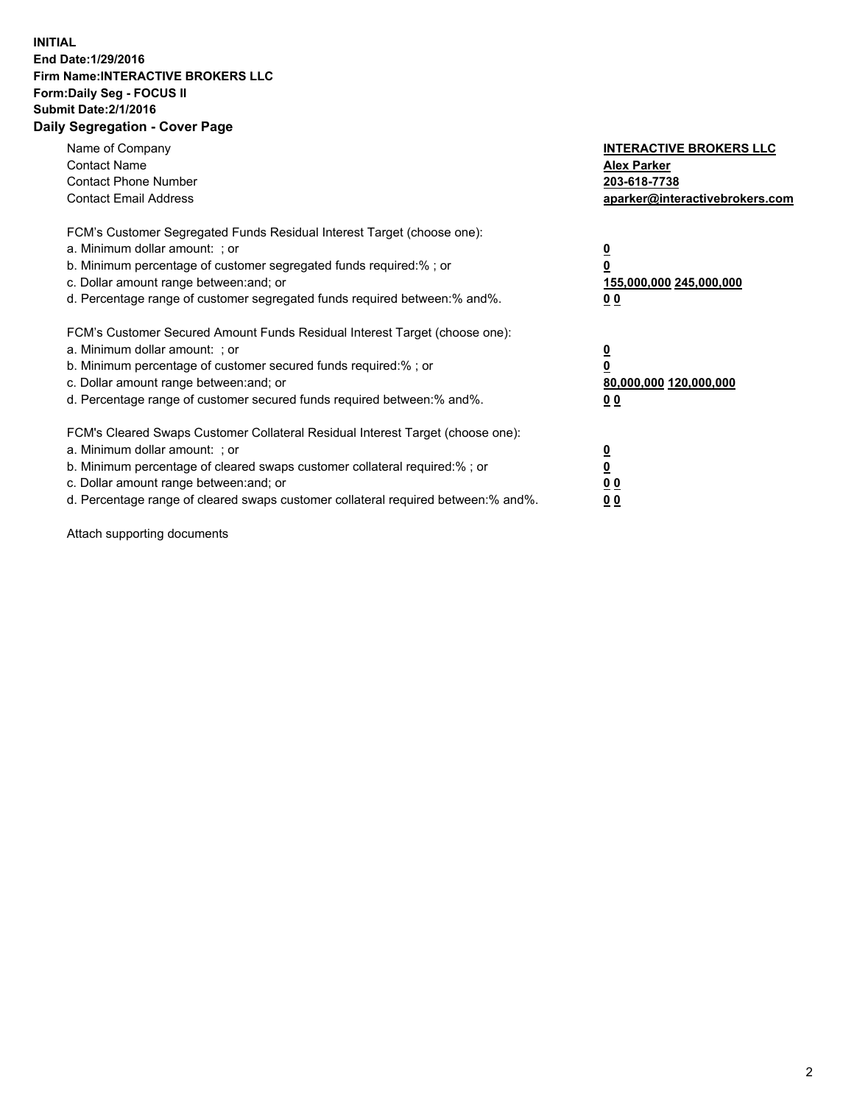## **INITIAL End Date:1/29/2016 Firm Name:INTERACTIVE BROKERS LLC Form:Daily Seg - FOCUS II Submit Date:2/1/2016 Daily Segregation - Cover Page**

| Name of Company<br><b>Contact Name</b><br><b>Contact Phone Number</b><br><b>Contact Email Address</b>                                                                                                                                                                                                                         | <b>INTERACTIVE BROKERS LLC</b><br><b>Alex Parker</b><br>203-618-7738<br>aparker@interactivebrokers.com |
|-------------------------------------------------------------------------------------------------------------------------------------------------------------------------------------------------------------------------------------------------------------------------------------------------------------------------------|--------------------------------------------------------------------------------------------------------|
| FCM's Customer Segregated Funds Residual Interest Target (choose one):<br>a. Minimum dollar amount: ; or<br>b. Minimum percentage of customer segregated funds required:% ; or<br>c. Dollar amount range between: and; or<br>d. Percentage range of customer segregated funds required between:% and%.                        | <u>0</u><br>155,000,000 245,000,000<br><u>00</u>                                                       |
| FCM's Customer Secured Amount Funds Residual Interest Target (choose one):<br>a. Minimum dollar amount: ; or<br>b. Minimum percentage of customer secured funds required:%; or<br>c. Dollar amount range between: and; or<br>d. Percentage range of customer secured funds required between:% and%.                           | <u>0</u><br>80,000,000 120,000,000<br><u>00</u>                                                        |
| FCM's Cleared Swaps Customer Collateral Residual Interest Target (choose one):<br>a. Minimum dollar amount: ; or<br>b. Minimum percentage of cleared swaps customer collateral required:%; or<br>c. Dollar amount range between: and; or<br>d. Percentage range of cleared swaps customer collateral required between:% and%. | <u>0</u><br>0 <sub>0</sub><br>0 <sub>0</sub>                                                           |

Attach supporting documents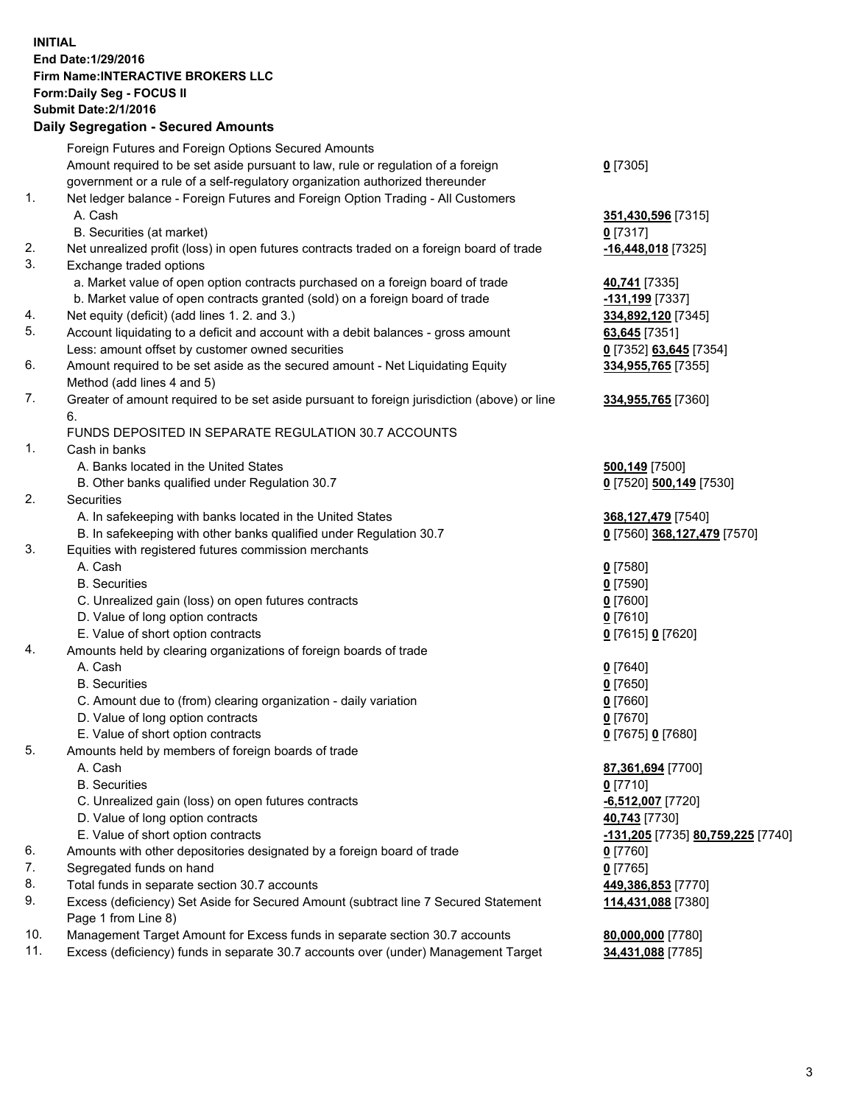## **INITIAL End Date:1/29/2016 Firm Name:INTERACTIVE BROKERS LLC Form:Daily Seg - FOCUS II Submit Date:2/1/2016 Daily Segregation - Secured Amounts**

|     | $-$ 0.000 0.000 0.000 0.000 0.000 0.000 0.000 0.000 0.000 0.000 0.000 0.000 0.000 0.000 0.000 0.000 0.000 0.000 0.000 0.000 0.000 0.000 0.000 0.000 0.000 0.000 0.000 0.000 0.000 0.000 0.000 0.000 0.000 0.000 0.000 0.000 0 |                                                 |
|-----|-------------------------------------------------------------------------------------------------------------------------------------------------------------------------------------------------------------------------------|-------------------------------------------------|
|     | Foreign Futures and Foreign Options Secured Amounts                                                                                                                                                                           |                                                 |
|     | Amount required to be set aside pursuant to law, rule or regulation of a foreign                                                                                                                                              | $0$ [7305]                                      |
|     | government or a rule of a self-regulatory organization authorized thereunder                                                                                                                                                  |                                                 |
| 1.  | Net ledger balance - Foreign Futures and Foreign Option Trading - All Customers                                                                                                                                               |                                                 |
|     | A. Cash                                                                                                                                                                                                                       | 351,430,596 [7315]                              |
|     | B. Securities (at market)                                                                                                                                                                                                     | $0$ [7317]                                      |
| 2.  | Net unrealized profit (loss) in open futures contracts traded on a foreign board of trade                                                                                                                                     | -16,448,018 [7325]                              |
| 3.  | Exchange traded options                                                                                                                                                                                                       |                                                 |
|     | a. Market value of open option contracts purchased on a foreign board of trade                                                                                                                                                | 40,741 [7335]                                   |
|     | b. Market value of open contracts granted (sold) on a foreign board of trade                                                                                                                                                  | -131,199 [7337]                                 |
| 4.  | Net equity (deficit) (add lines 1.2. and 3.)                                                                                                                                                                                  | 334,892,120 [7345]                              |
| 5.  | Account liquidating to a deficit and account with a debit balances - gross amount                                                                                                                                             | 63,645 [7351]                                   |
|     | Less: amount offset by customer owned securities                                                                                                                                                                              | 0 [7352] 63,645 [7354]                          |
| 6.  | Amount required to be set aside as the secured amount - Net Liquidating Equity                                                                                                                                                | 334,955,765 [7355]                              |
|     | Method (add lines 4 and 5)                                                                                                                                                                                                    |                                                 |
| 7.  | Greater of amount required to be set aside pursuant to foreign jurisdiction (above) or line                                                                                                                                   | 334,955,765 [7360]                              |
|     | 6.                                                                                                                                                                                                                            |                                                 |
|     | FUNDS DEPOSITED IN SEPARATE REGULATION 30.7 ACCOUNTS                                                                                                                                                                          |                                                 |
| 1.  | Cash in banks                                                                                                                                                                                                                 |                                                 |
|     | A. Banks located in the United States                                                                                                                                                                                         | <b>500,149</b> [7500]                           |
|     | B. Other banks qualified under Regulation 30.7                                                                                                                                                                                | 0 [7520] 500,149 [7530]                         |
| 2.  | Securities                                                                                                                                                                                                                    |                                                 |
|     | A. In safekeeping with banks located in the United States                                                                                                                                                                     | 368, 127, 479 [7540]                            |
|     | B. In safekeeping with other banks qualified under Regulation 30.7                                                                                                                                                            | 0 [7560] 368,127,479 [7570]                     |
| 3.  | Equities with registered futures commission merchants                                                                                                                                                                         |                                                 |
|     | A. Cash                                                                                                                                                                                                                       | $0$ [7580]                                      |
|     | <b>B.</b> Securities                                                                                                                                                                                                          | $0$ [7590]                                      |
|     | C. Unrealized gain (loss) on open futures contracts                                                                                                                                                                           | $0$ [7600]                                      |
|     | D. Value of long option contracts                                                                                                                                                                                             | $0$ [7610]                                      |
|     | E. Value of short option contracts                                                                                                                                                                                            | 0 [7615] 0 [7620]                               |
| 4.  | Amounts held by clearing organizations of foreign boards of trade                                                                                                                                                             |                                                 |
|     | A. Cash                                                                                                                                                                                                                       | $0$ [7640]                                      |
|     | <b>B.</b> Securities                                                                                                                                                                                                          | $0$ [7650]                                      |
|     | C. Amount due to (from) clearing organization - daily variation                                                                                                                                                               | $0$ [7660]                                      |
|     | D. Value of long option contracts                                                                                                                                                                                             | $0$ [7670]                                      |
|     | E. Value of short option contracts                                                                                                                                                                                            | 0 [7675] 0 [7680]                               |
| 5.  | Amounts held by members of foreign boards of trade                                                                                                                                                                            |                                                 |
|     | A. Cash                                                                                                                                                                                                                       | 87,361,694 [7700]                               |
|     | <b>B.</b> Securities                                                                                                                                                                                                          | $0$ [7710]                                      |
|     | C. Unrealized gain (loss) on open futures contracts                                                                                                                                                                           | <mark>-6,512,007</mark> [7720]                  |
|     | D. Value of long option contracts                                                                                                                                                                                             | 40,743 [7730]                                   |
|     | E. Value of short option contracts                                                                                                                                                                                            | <u>-131,205</u> [7735] <u>80,759,225</u> [7740] |
| 6.  | Amounts with other depositories designated by a foreign board of trade                                                                                                                                                        | $0$ [7760]                                      |
| 7.  | Segregated funds on hand                                                                                                                                                                                                      | $0$ [7765]                                      |
| 8.  | Total funds in separate section 30.7 accounts                                                                                                                                                                                 | 449,386,853 [7770]                              |
| 9.  | Excess (deficiency) Set Aside for Secured Amount (subtract line 7 Secured Statement<br>Page 1 from Line 8)                                                                                                                    | 114,431,088 [7380]                              |
| 10. | Management Target Amount for Excess funds in separate section 30.7 accounts                                                                                                                                                   | 80,000,000 [7780]                               |
| 11. | Excess (deficiency) funds in separate 30.7 accounts over (under) Management Target                                                                                                                                            | 34,431,088 [7785]                               |
|     |                                                                                                                                                                                                                               |                                                 |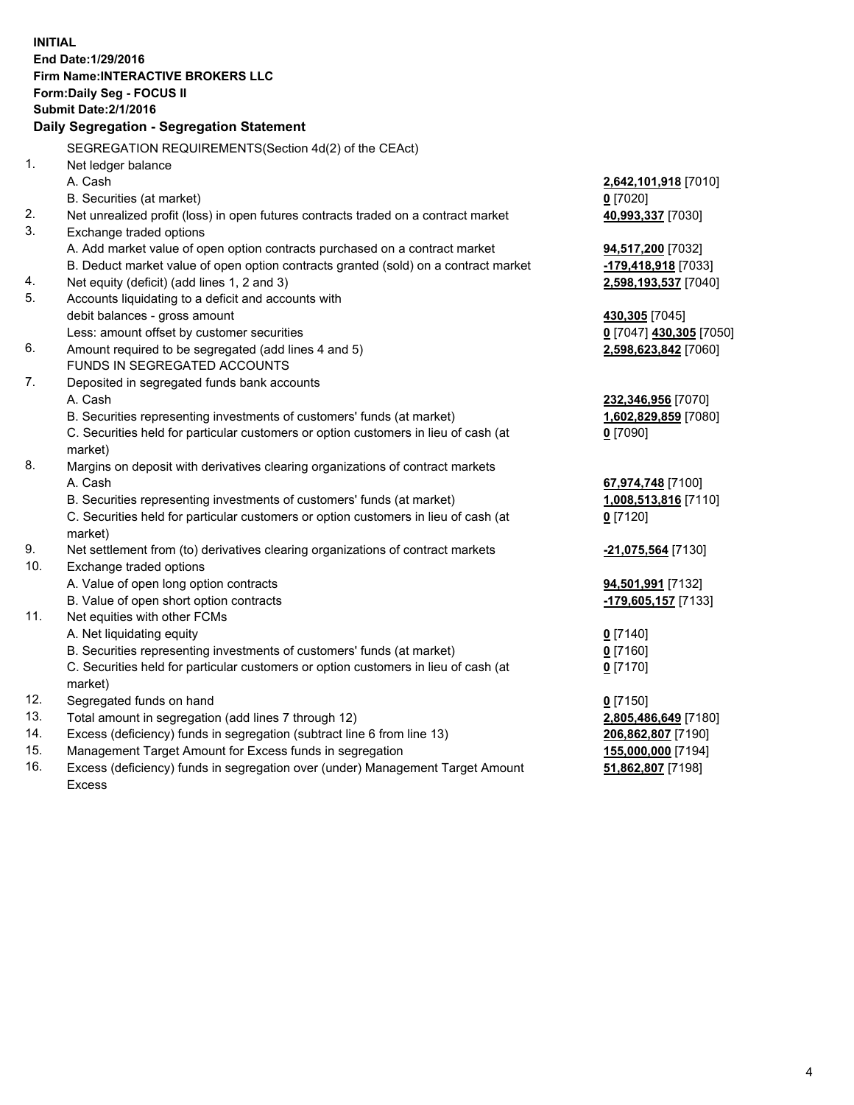**INITIAL End Date:1/29/2016 Firm Name:INTERACTIVE BROKERS LLC Form:Daily Seg - FOCUS II Submit Date:2/1/2016 Daily Segregation - Segregation Statement** SEGREGATION REQUIREMENTS(Section 4d(2) of the CEAct) 1. Net ledger balance A. Cash **2,642,101,918** [7010] B. Securities (at market) **0** [7020] 2. Net unrealized profit (loss) in open futures contracts traded on a contract market **40,993,337** [7030] 3. Exchange traded options A. Add market value of open option contracts purchased on a contract market **94,517,200** [7032] B. Deduct market value of open option contracts granted (sold) on a contract market **-179,418,918** [7033] 4. Net equity (deficit) (add lines 1, 2 and 3) **2,598,193,537** [7040] 5. Accounts liquidating to a deficit and accounts with debit balances - gross amount **430,305** [7045] Less: amount offset by customer securities **0** [7047] **430,305** [7050] 6. Amount required to be segregated (add lines 4 and 5) **2,598,623,842** [7060] FUNDS IN SEGREGATED ACCOUNTS 7. Deposited in segregated funds bank accounts A. Cash **232,346,956** [7070] B. Securities representing investments of customers' funds (at market) **1,602,829,859** [7080] C. Securities held for particular customers or option customers in lieu of cash (at market) **0** [7090] 8. Margins on deposit with derivatives clearing organizations of contract markets A. Cash **67,974,748** [7100] B. Securities representing investments of customers' funds (at market) **1,008,513,816** [7110] C. Securities held for particular customers or option customers in lieu of cash (at market) **0** [7120] 9. Net settlement from (to) derivatives clearing organizations of contract markets **-21,075,564** [7130] 10. Exchange traded options A. Value of open long option contracts **94,501,991** [7132] B. Value of open short option contracts **-179,605,157** [7133] 11. Net equities with other FCMs A. Net liquidating equity **0** [7140] B. Securities representing investments of customers' funds (at market) **0** [7160] C. Securities held for particular customers or option customers in lieu of cash (at market) **0** [7170] 12. Segregated funds on hand **0** [7150] 13. Total amount in segregation (add lines 7 through 12) **2,805,486,649** [7180] 14. Excess (deficiency) funds in segregation (subtract line 6 from line 13) **206,862,807** [7190] 15. Management Target Amount for Excess funds in segregation **155,000,000** [7194]

16. Excess (deficiency) funds in segregation over (under) Management Target Amount Excess

**51,862,807** [7198]